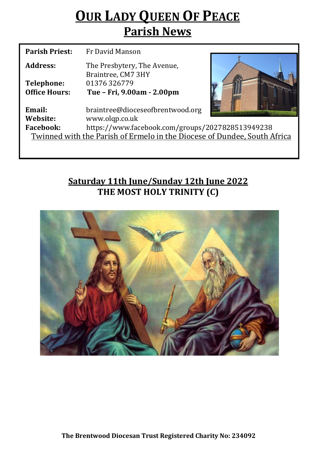# **OUR LADY QUEEN OF PEACE Parish News**

| <b>Parish Priest:</b>                                                    | Fr David Manson                                   |  |  |  |
|--------------------------------------------------------------------------|---------------------------------------------------|--|--|--|
| Address:                                                                 | The Presbytery, The Avenue,<br>Braintree, CM7 3HY |  |  |  |
| Telephone:                                                               | 01376326779                                       |  |  |  |
| <b>Office Hours:</b>                                                     | Tue - Fri, 9.00am - 2.00pm                        |  |  |  |
| Email:                                                                   | braintree@dioceseofbrentwood.org                  |  |  |  |
| Website:                                                                 | www.olqp.co.uk                                    |  |  |  |
| <b>Facebook:</b>                                                         | https://www.facebook.com/groups/2027828513949238  |  |  |  |
| Twinned with the Parish of Ermelo in the Diocese of Dundee, South Africa |                                                   |  |  |  |
|                                                                          |                                                   |  |  |  |

# **Saturday 11th June/Sunday 12th June 2022 THE MOST HOLY TRINITY (C)**

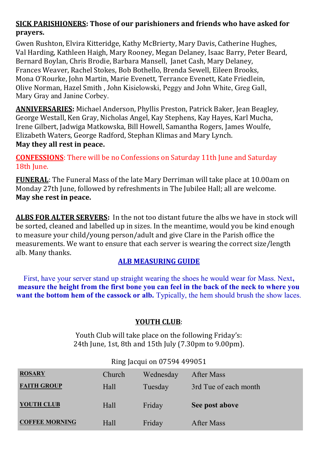## **SICK PARISHIONERS: Those of our parishioners and friends who have asked for prayers.**

Gwen Rushton, Elvira Kitteridge, Kathy McBrierty, Mary Davis, Catherine Hughes, Val Harding, Kathleen Haigh, Mary Rooney, Megan Delaney, Isaac Barry, Peter Beard, Bernard Boylan, Chris Brodie, Barbara Mansell, Janet Cash, Mary Delaney, Frances Weaver, Rachel Stokes, Bob Bothello, Brenda Sewell, Eileen Brooks, Mona O'Rourke, John Martin, Marie Evenett, Terrance Evenett, Kate Friedlein, Olive Norman, Hazel Smith , John Kisielowski, Peggy and John White, Greg Gall, Mary Gray and Janine Corbey.

**ANNIVERSARIES:** Michael Anderson, Phyllis Preston, Patrick Baker, Jean Beagley, George Westall, Ken Gray, Nicholas Angel, Kay Stephens, Kay Hayes, Karl Mucha, Irene Gilbert, Jadwiga Matkowska, Bill Howell, Samantha Rogers, James Woulfe, Elizabeth Waters, George Radford, Stephan Klimas and Mary Lynch. **May they all rest in peace.** 

**CONFESSIONS**: There will be no Confessions on Saturday 11th June and Saturday 18th June.

**FUNERAL**: The Funeral Mass of the late Mary Derriman will take place at 10.00am on Monday 27th June, followed by refreshments in The Jubilee Hall; all are welcome. **May she rest in peace.**

**ALBS FOR ALTER SERVERS:** In the not too distant future the albs we have in stock will be sorted, cleaned and labelled up in sizes. In the meantime, would you be kind enough to measure your child/young person/adult and give Clare in the Parish office the measurements. We want to ensure that each server is wearing the correct size/length alb. Many thanks.

### **ALB MEASURING GUIDE**

First, have your server stand up straight wearing the shoes he would wear for Mass. Next**, measure the height from the first bone you can feel in the back of the neck to where you want the bottom hem of the cassock or alb.** Typically, the hem should brush the show laces.

### **YOUTH CLUB**:

Youth Club will take place on the following Friday's: 24th June, 1st, 8th and 15th July (7.30pm to 9.00pm).

| <b>ROSARY</b>         | Church | Wednesday | After Mass            |
|-----------------------|--------|-----------|-----------------------|
| <b>FAITH GROUP</b>    | Hall   | Tuesday   | 3rd Tue of each month |
| YOUTH CLUB            | Hall   | Friday    | See post above        |
| <b>COFFEE MORNING</b> | Hall   | Friday    | After Mass            |

#### Ring Jacqui on 07594 499051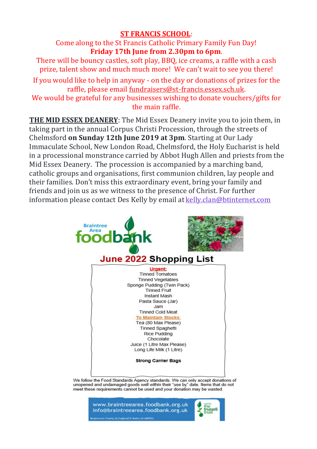#### **ST FRANCIS SCHOOL**:

Come along to the St Francis Catholic Primary Family Fun Day! **Friday 17th June from 2.30pm to 6pm**.

There will be bouncy castles, soft play, BBQ, ice creams, a raffle with a cash prize, talent show and much much more! We can't wait to see you there! If you would like to help in anyway - on the day or donations of prizes for the raffle, please email fundraisers@st-[francis.essex.sch.uk.](mailto:fundraisers@st-francis.essex.sch.uk)  We would be grateful for any businesses wishing to donate vouchers/gifts for the main raffle.

**THE MID ESSEX DEANERY**: The Mid Essex Deanery invite you to join them, in taking part in the annual Corpus Christi Procession, through the streets of Chelmsford **on Sunday 12th June 2019 at 3pm**. Starting at Our Lady Immaculate School, New London Road, Chelmsford, the Holy Eucharist is held in a processional monstrance carried by Abbot Hugh Allen and priests from the Mid Essex Deanery. The procession is accompanied by a marching band, catholic groups and organisations, first communion children, lay people and their families. Don't miss this extraordinary event, bring your family and friends and join us as we witness to the presence of Christ. For further information please contact Des Kelly by email at [kelly.clan@btinternet.com](mailto:kelly.clan@btinternet.com)



We follow the Food Standards Agency standards. We can only accept donations of unopened and undamaged goods well within their "use by" date. Items that do not meet these requirements cannot be used and your donation may be wasted